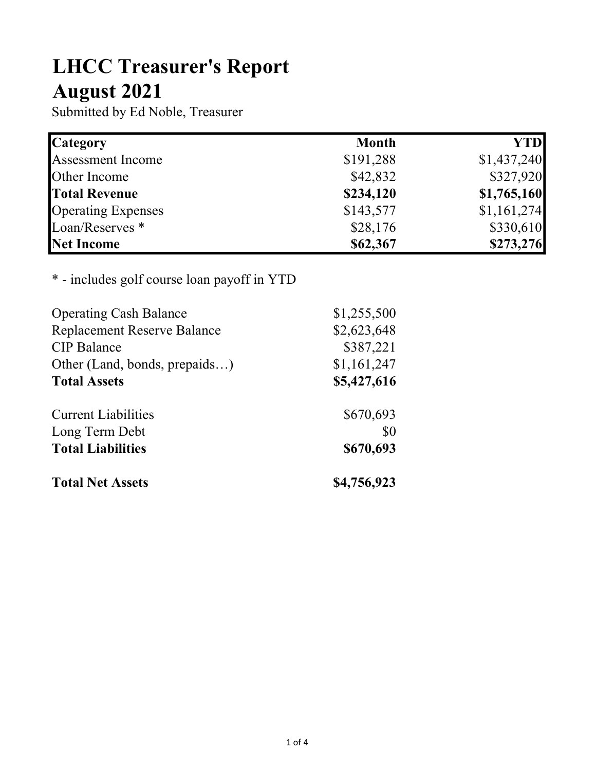## LHCC Treasurer's Report August 2021

Submitted by Ed Noble, Treasurer

| <b>Category</b>            | <b>Month</b> | YTD         |
|----------------------------|--------------|-------------|
| <b>Assessment Income</b>   | \$191,288    | \$1,437,240 |
| Other Income               | \$42,832     | \$327,920   |
| <b>Total Revenue</b>       | \$234,120    | \$1,765,160 |
| <b>Operating Expenses</b>  | \$143,577    | \$1,161,274 |
| Loan/Reserves <sup>*</sup> | \$28,176     | \$330,610   |
| Net Income                 | \$62,367     | \$273,276   |

## \* - includes golf course loan payoff in YTD

| <b>Operating Cash Balance</b>      | \$1,255,500 |
|------------------------------------|-------------|
| <b>Replacement Reserve Balance</b> | \$2,623,648 |
| <b>CIP</b> Balance                 | \$387,221   |
| Other (Land, bonds, prepaids)      | \$1,161,247 |
| <b>Total Assets</b>                | \$5,427,616 |
| <b>Current Liabilities</b>         | \$670,693   |
| Long Term Debt                     | \$0         |
| <b>Total Liabilities</b>           | \$670,693   |
| <b>Total Net Assets</b>            | \$4,756,923 |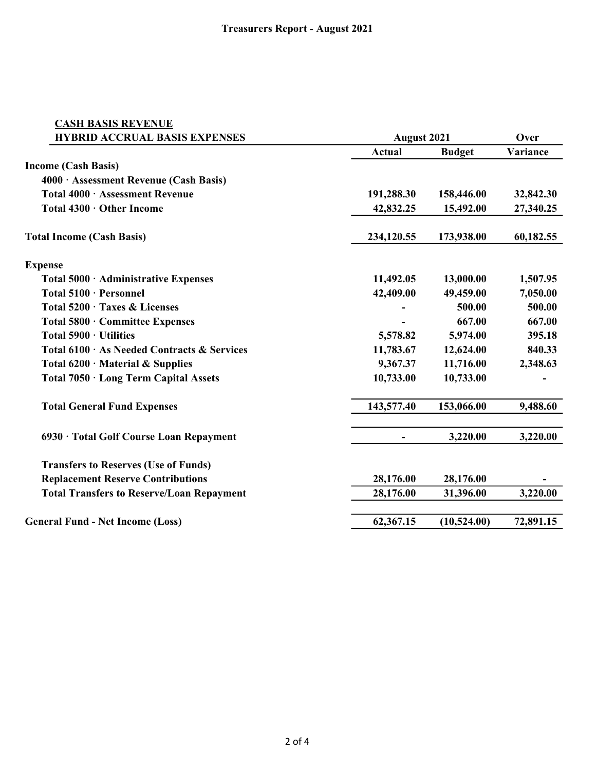| <b>CASH BASIS REVENUE</b>                        |                       |                        |                    |  |
|--------------------------------------------------|-----------------------|------------------------|--------------------|--|
| <b>HYBRID ACCRUAL BASIS EXPENSES</b>             | <b>August 2021</b>    |                        | Over               |  |
|                                                  | <b>Actual</b>         | <b>Budget</b>          | Variance           |  |
| <b>Income (Cash Basis)</b>                       |                       |                        |                    |  |
| 4000 · Assessment Revenue (Cash Basis)           |                       |                        |                    |  |
| Total 4000 · Assessment Revenue                  | 191,288.30            | 158,446.00             | 32,842.30          |  |
| Total 4300 · Other Income                        | 42,832.25             | 15,492.00              | 27,340.25          |  |
| <b>Total Income (Cash Basis)</b>                 | 234,120.55            | 173,938.00             | 60,182.55          |  |
| <b>Expense</b>                                   |                       |                        |                    |  |
| Total 5000 · Administrative Expenses             | 11,492.05             | 13,000.00              | 1,507.95           |  |
| Total 5100 · Personnel                           | 42,409.00             | 49,459.00              | 7,050.00           |  |
| Total 5200 · Taxes & Licenses                    |                       | 500.00                 | 500.00             |  |
| Total 5800 · Committee Expenses                  |                       | 667.00                 | 667.00             |  |
| Total 5900 · Utilities                           | 5,578.82              | 5,974.00               | 395.18             |  |
| Total 6100 · As Needed Contracts & Services      | 11,783.67<br>9,367.37 | 12,624.00<br>11,716.00 | 840.33<br>2,348.63 |  |
| Total $6200 \cdot$ Material & Supplies           |                       |                        |                    |  |
| Total 7050 · Long Term Capital Assets            | 10,733.00             | 10,733.00              |                    |  |
| <b>Total General Fund Expenses</b>               | 143,577.40            | 153,066.00             | 9,488.60           |  |
| 6930 · Total Golf Course Loan Repayment          |                       | 3,220.00               | 3,220.00           |  |
| <b>Transfers to Reserves (Use of Funds)</b>      |                       |                        |                    |  |
| <b>Replacement Reserve Contributions</b>         | 28,176.00             | 28,176.00              |                    |  |
| <b>Total Transfers to Reserve/Loan Repayment</b> | 28,176.00             | 31,396.00              | 3,220.00           |  |
| <b>General Fund - Net Income (Loss)</b>          | 62,367.15             | (10,524.00)            | 72,891.15          |  |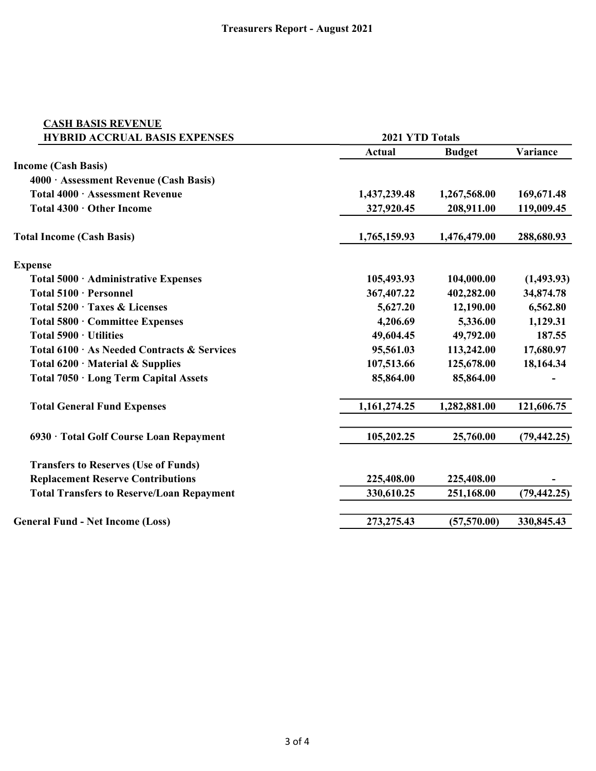| <b>CASH BASIS REVENUE</b>                        |                 |               |              |
|--------------------------------------------------|-----------------|---------------|--------------|
| <b>HYBRID ACCRUAL BASIS EXPENSES</b>             | 2021 YTD Totals |               |              |
|                                                  | <b>Actual</b>   | <b>Budget</b> | Variance     |
| <b>Income (Cash Basis)</b>                       |                 |               |              |
| 4000 · Assessment Revenue (Cash Basis)           |                 |               |              |
| Total 4000 · Assessment Revenue                  | 1,437,239.48    | 1,267,568.00  | 169,671.48   |
| Total 4300 · Other Income                        | 327,920.45      | 208,911.00    | 119,009.45   |
| <b>Total Income (Cash Basis)</b>                 | 1,765,159.93    | 1,476,479.00  | 288,680.93   |
| <b>Expense</b>                                   |                 |               |              |
| Total 5000 · Administrative Expenses             | 105,493.93      | 104,000.00    | (1,493.93)   |
| Total 5100 · Personnel                           | 367,407.22      | 402,282.00    | 34,874.78    |
| Total 5200 · Taxes & Licenses                    | 5,627.20        | 12,190.00     | 6,562.80     |
| Total 5800 · Committee Expenses                  | 4,206.69        | 5,336.00      | 1,129.31     |
| Total 5900 · Utilities                           | 49,604.45       | 49,792.00     | 187.55       |
| Total 6100 · As Needed Contracts & Services      | 95,561.03       | 113,242.00    | 17,680.97    |
| Total $6200 \cdot$ Material & Supplies           | 107,513.66      | 125,678.00    | 18,164.34    |
| Total 7050 · Long Term Capital Assets            | 85,864.00       | 85,864.00     |              |
| <b>Total General Fund Expenses</b>               | 1,161,274.25    | 1,282,881.00  | 121,606.75   |
| 6930 · Total Golf Course Loan Repayment          | 105,202.25      | 25,760.00     | (79, 442.25) |
| <b>Transfers to Reserves (Use of Funds)</b>      |                 |               |              |
| <b>Replacement Reserve Contributions</b>         | 225,408.00      | 225,408.00    |              |
| <b>Total Transfers to Reserve/Loan Repayment</b> | 330,610.25      | 251,168.00    | (79, 442.25) |
| <b>General Fund - Net Income (Loss)</b>          | 273,275.43      | (57, 570.00)  | 330,845.43   |
|                                                  |                 |               |              |